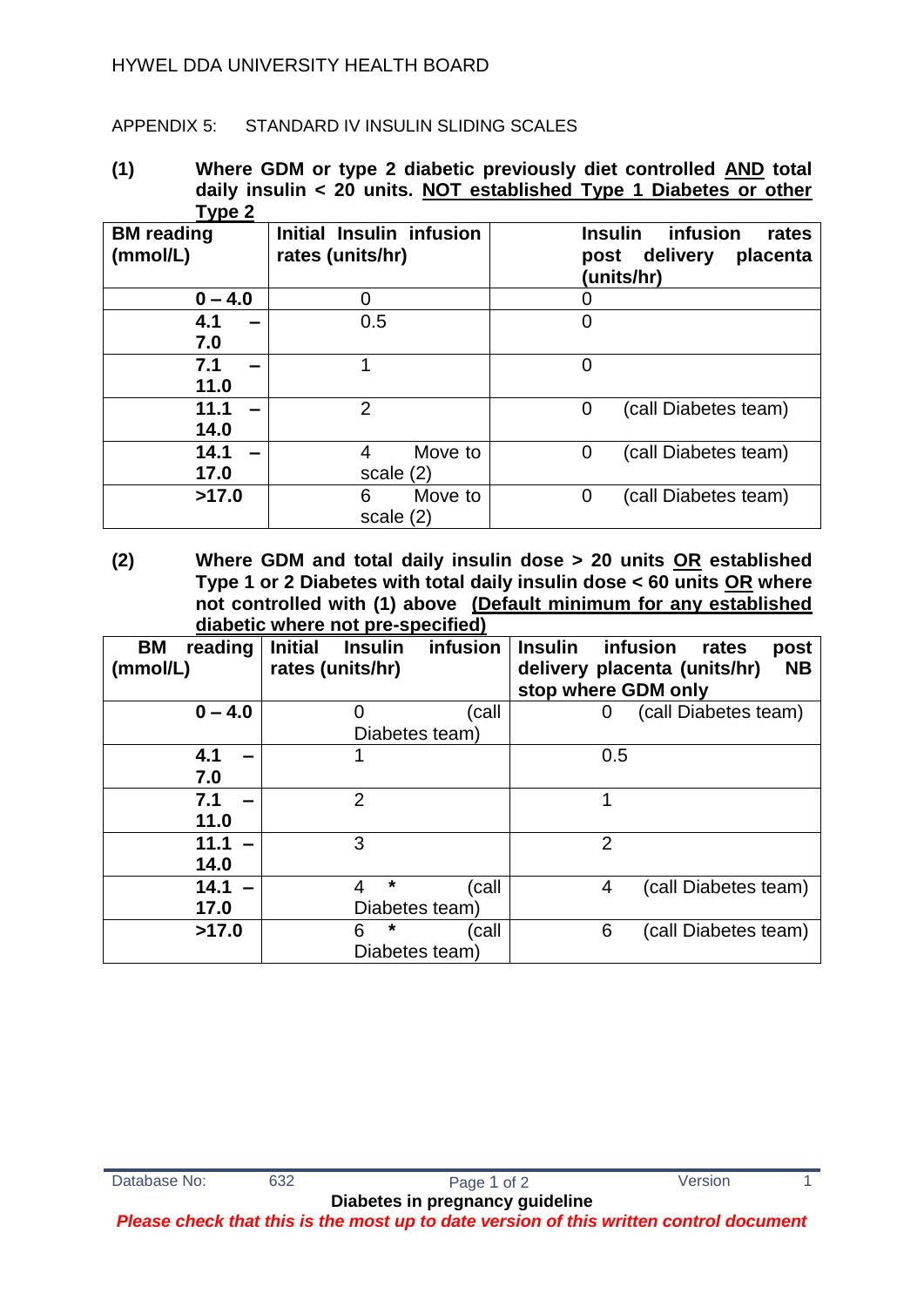## HYWEL DDA UNIVERSITY HEALTH BOARD

## APPENDIX 5: STANDARD IV INSULIN SLIDING SCALES

**(1) Where GDM or type 2 diabetic previously diet controlled AND total daily insulin < 20 units. NOT established Type 1 Diabetes or other Type 2** 

| <b>BM</b> reading<br>(mmol/L) | Initial Insulin infusion<br>rates (units/hr) | <b>Insulin</b><br>infusion<br>rates<br>delivery<br>placenta<br>post<br>(units/hr) |
|-------------------------------|----------------------------------------------|-----------------------------------------------------------------------------------|
| $0 - 4.0$                     |                                              |                                                                                   |
| 4.1<br>7.0                    | 0.5                                          | 0                                                                                 |
| 7.1<br>11.0                   |                                              | 0                                                                                 |
| 11.1<br>14.0                  | $\overline{2}$                               | 0<br>(call Diabetes team)                                                         |
| 14.1<br>17.0                  | Move to<br>4<br>scale $(2)$                  | (call Diabetes team)<br>0                                                         |
| >17.0                         | 6<br>Move to<br>scale $(2)$                  | (call Diabetes team)<br>0                                                         |

**(2) Where GDM and total daily insulin dose > 20 units OR established Type 1 or 2 Diabetes with total daily insulin dose < 60 units OR where not controlled with (1) above (Default minimum for any established diabetic where not pre-specified)**

| aiasono miloro lior pro opoolitoa, |                                  |          |                     |                                           |  |  |  |
|------------------------------------|----------------------------------|----------|---------------------|-------------------------------------------|--|--|--|
| BM<br>reading                      | <b>Initial</b><br><b>Insulin</b> | infusion | <b>Insulin</b>      | infusion<br>post<br>rates                 |  |  |  |
| (mmol/L)                           | rates (units/hr)                 |          |                     | <b>NB</b><br>delivery placenta (units/hr) |  |  |  |
|                                    |                                  |          | stop where GDM only |                                           |  |  |  |
| $0 - 4.0$                          | O                                | (call    | 0                   | (call Diabetes team)                      |  |  |  |
|                                    | Diabetes team)                   |          |                     |                                           |  |  |  |
| 4.1                                |                                  |          | 0.5                 |                                           |  |  |  |
| 7.0                                |                                  |          |                     |                                           |  |  |  |
| 7.1                                | $\overline{2}$                   |          |                     |                                           |  |  |  |
| 11.0                               |                                  |          |                     |                                           |  |  |  |
| 11.1                               | 3                                |          | $\overline{2}$      |                                           |  |  |  |
| 14.0                               |                                  |          |                     |                                           |  |  |  |
| 14.1                               | $\star$<br>4                     | (call    | 4                   | (call Diabetes team)                      |  |  |  |
| 17.0                               | Diabetes team)                   |          |                     |                                           |  |  |  |
| >17.0                              | *<br>6                           | call)    | 6                   | (call Diabetes team)                      |  |  |  |
|                                    | Diabetes team)                   |          |                     |                                           |  |  |  |